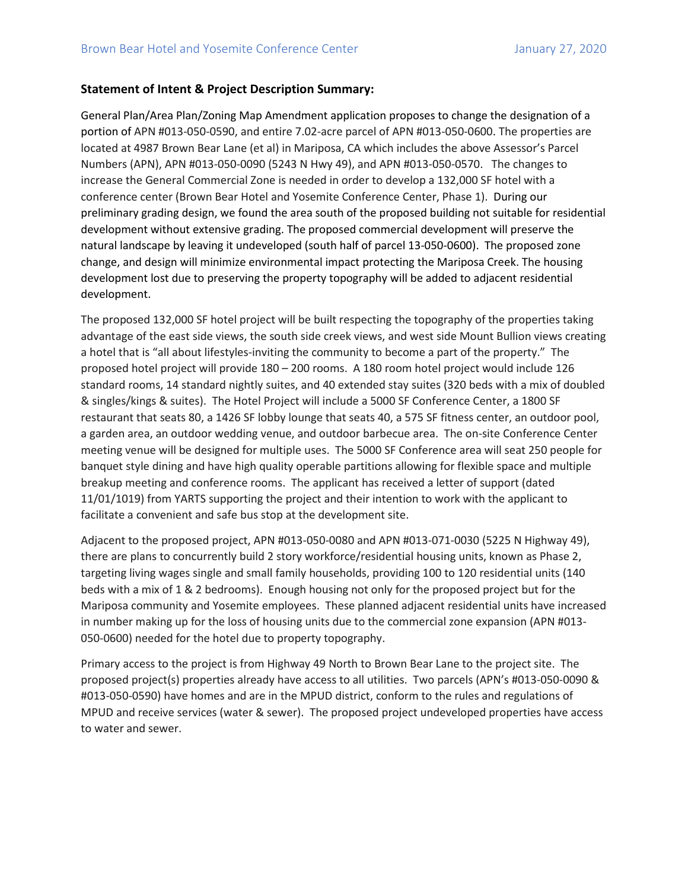## **Statement of Intent & Project Description Summary:**

General Plan/Area Plan/Zoning Map Amendment application proposes to change the designation of a portion of APN #013-050-0590, and entire 7.02-acre parcel of APN #013-050-0600. The properties are located at 4987 Brown Bear Lane (et al) in Mariposa, CA which includes the above Assessor's Parcel Numbers (APN), APN #013-050-0090 (5243 N Hwy 49), and APN #013-050-0570. The changes to increase the General Commercial Zone is needed in order to develop a 132,000 SF hotel with a conference center (Brown Bear Hotel and Yosemite Conference Center, Phase 1). During our preliminary grading design, we found the area south of the proposed building not suitable for residential development without extensive grading. The proposed commercial development will preserve the natural landscape by leaving it undeveloped (south half of parcel 13-050-0600). The proposed zone change, and design will minimize environmental impact protecting the Mariposa Creek. The housing development lost due to preserving the property topography will be added to adjacent residential development.

The proposed 132,000 SF hotel project will be built respecting the topography of the properties taking advantage of the east side views, the south side creek views, and west side Mount Bullion views creating a hotel that is "all about lifestyles-inviting the community to become a part of the property." The proposed hotel project will provide 180 – 200 rooms. A 180 room hotel project would include 126 standard rooms, 14 standard nightly suites, and 40 extended stay suites (320 beds with a mix of doubled & singles/kings & suites). The Hotel Project will include a 5000 SF Conference Center, a 1800 SF restaurant that seats 80, a 1426 SF lobby lounge that seats 40, a 575 SF fitness center, an outdoor pool, a garden area, an outdoor wedding venue, and outdoor barbecue area. The on-site Conference Center meeting venue will be designed for multiple uses. The 5000 SF Conference area will seat 250 people for banquet style dining and have high quality operable partitions allowing for flexible space and multiple breakup meeting and conference rooms. The applicant has received a letter of support (dated 11/01/1019) from YARTS supporting the project and their intention to work with the applicant to facilitate a convenient and safe bus stop at the development site.

Adjacent to the proposed project, APN #013-050-0080 and APN #013-071-0030 (5225 N Highway 49), there are plans to concurrently build 2 story workforce/residential housing units, known as Phase 2, targeting living wages single and small family households, providing 100 to 120 residential units (140 beds with a mix of 1 & 2 bedrooms). Enough housing not only for the proposed project but for the Mariposa community and Yosemite employees. These planned adjacent residential units have increased in number making up for the loss of housing units due to the commercial zone expansion (APN #013- 050-0600) needed for the hotel due to property topography.

Primary access to the project is from Highway 49 North to Brown Bear Lane to the project site. The proposed project(s) properties already have access to all utilities. Two parcels (APN's #013-050-0090 & #013-050-0590) have homes and are in the MPUD district, conform to the rules and regulations of MPUD and receive services (water & sewer). The proposed project undeveloped properties have access to water and sewer.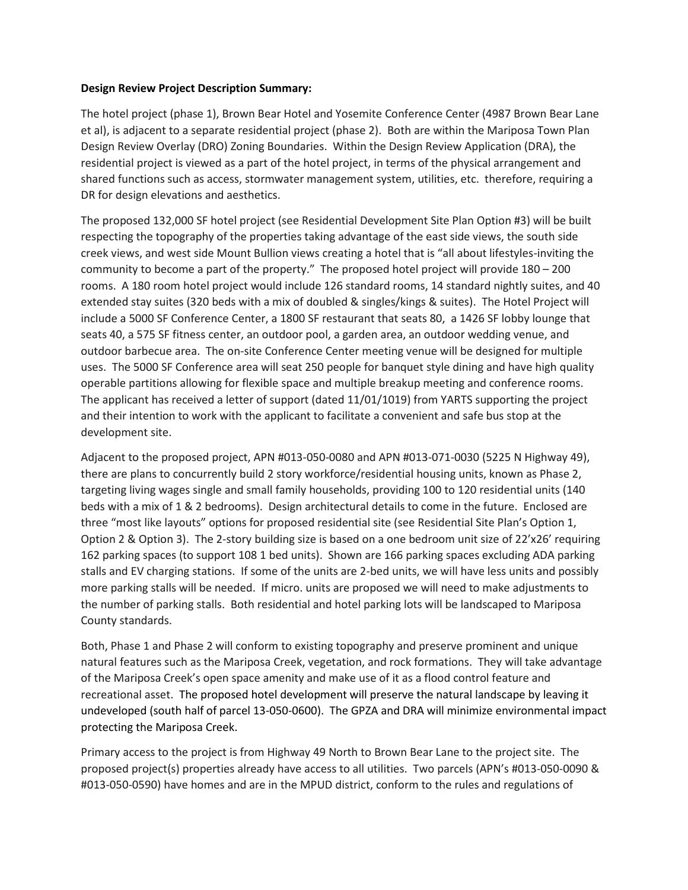## **Design Review Project Description Summary:**

The hotel project (phase 1), Brown Bear Hotel and Yosemite Conference Center (4987 Brown Bear Lane et al), is adjacent to a separate residential project (phase 2). Both are within the Mariposa Town Plan Design Review Overlay (DRO) Zoning Boundaries. Within the Design Review Application (DRA), the residential project is viewed as a part of the hotel project, in terms of the physical arrangement and shared functions such as access, stormwater management system, utilities, etc. therefore, requiring a DR for design elevations and aesthetics.

The proposed 132,000 SF hotel project (see Residential Development Site Plan Option #3) will be built respecting the topography of the properties taking advantage of the east side views, the south side creek views, and west side Mount Bullion views creating a hotel that is "all about lifestyles-inviting the community to become a part of the property." The proposed hotel project will provide 180 – 200 rooms. A 180 room hotel project would include 126 standard rooms, 14 standard nightly suites, and 40 extended stay suites (320 beds with a mix of doubled & singles/kings & suites). The Hotel Project will include a 5000 SF Conference Center, a 1800 SF restaurant that seats 80, a 1426 SF lobby lounge that seats 40, a 575 SF fitness center, an outdoor pool, a garden area, an outdoor wedding venue, and outdoor barbecue area. The on-site Conference Center meeting venue will be designed for multiple uses. The 5000 SF Conference area will seat 250 people for banquet style dining and have high quality operable partitions allowing for flexible space and multiple breakup meeting and conference rooms. The applicant has received a letter of support (dated 11/01/1019) from YARTS supporting the project and their intention to work with the applicant to facilitate a convenient and safe bus stop at the development site.

Adjacent to the proposed project, APN #013-050-0080 and APN #013-071-0030 (5225 N Highway 49), there are plans to concurrently build 2 story workforce/residential housing units, known as Phase 2, targeting living wages single and small family households, providing 100 to 120 residential units (140 beds with a mix of 1 & 2 bedrooms). Design architectural details to come in the future. Enclosed are three "most like layouts" options for proposed residential site (see Residential Site Plan's Option 1, Option 2 & Option 3). The 2-story building size is based on a one bedroom unit size of 22'x26' requiring 162 parking spaces (to support 108 1 bed units). Shown are 166 parking spaces excluding ADA parking stalls and EV charging stations. If some of the units are 2-bed units, we will have less units and possibly more parking stalls will be needed. If micro. units are proposed we will need to make adjustments to the number of parking stalls. Both residential and hotel parking lots will be landscaped to Mariposa County standards.

Both, Phase 1 and Phase 2 will conform to existing topography and preserve prominent and unique natural features such as the Mariposa Creek, vegetation, and rock formations. They will take advantage of the Mariposa Creek's open space amenity and make use of it as a flood control feature and recreational asset. The proposed hotel development will preserve the natural landscape by leaving it undeveloped (south half of parcel 13-050-0600). The GPZA and DRA will minimize environmental impact protecting the Mariposa Creek.

Primary access to the project is from Highway 49 North to Brown Bear Lane to the project site. The proposed project(s) properties already have access to all utilities. Two parcels (APN's #013-050-0090 & #013-050-0590) have homes and are in the MPUD district, conform to the rules and regulations of